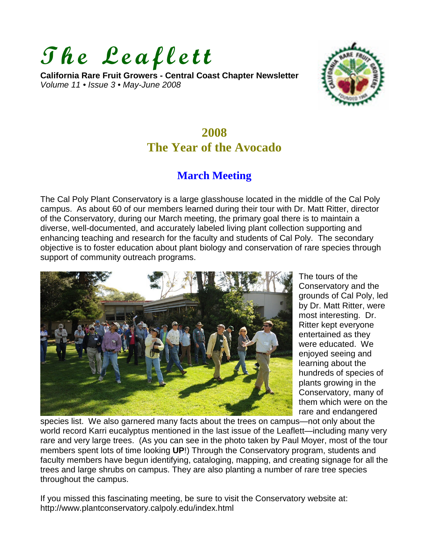# $The$  **Leaflett**

**California Rare Fruit Growers - Central Coast Chapter Newsletter** *Volume 11 • Issue 3 • May-June 2008*



# **2008 The Year of the Avocado**

## **March Meeting**

The Cal Poly Plant Conservatory is a large glasshouse located in the middle of the Cal Poly campus. As about 60 of our members learned during their tour with Dr. Matt Ritter, director of the Conservatory, during our March meeting, the primary goal there is to maintain a diverse, well-documented, and accurately labeled living plant collection supporting and enhancing teaching and research for the faculty and students of Cal Poly. The secondary objective is to foster education about plant biology and conservation of rare species through support of community outreach programs.



The tours of the Conservatory and the grounds of Cal Poly, led by Dr. Matt Ritter, were most interesting. Dr. Ritter kept everyone entertained as they were educated. We enjoyed seeing and learning about the hundreds of species of plants growing in the Conservatory, many of them which were on the rare and endangered

species list. We also garnered many facts about the trees on campus—not only about the world record Karri eucalyptus mentioned in the last issue of the Leaflett—including many very rare and very large trees. (As you can see in the photo taken by Paul Moyer, most of the tour members spent lots of time looking **UP**!) Through the Conservatory program, students and faculty members have begun identifying, cataloging, mapping, and creating signage for all the trees and large shrubs on campus. They are also planting a number of rare tree species throughout the campus.

If you missed this fascinating meeting, be sure to visit the Conservatory website at: http://www.plantconservatory.calpoly.edu/index.html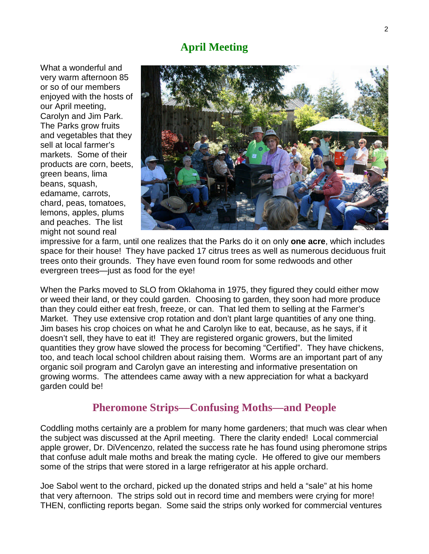## **April Meeting**

What a wonderful and very warm afternoon 85 or so of our members enjoyed with the hosts of our April meeting, Carolyn and Jim Park. The Parks grow fruits and vegetables that they sell at local farmer's markets. Some of their products are corn, beets, green beans, lima beans, squash, edamame, carrots, chard, peas, tomatoes, lemons, apples, plums and peaches. The list might not sound real



impressive for a farm, until one realizes that the Parks do it on only **one acre**, which includes space for their house! They have packed 17 citrus trees as well as numerous deciduous fruit trees onto their grounds. They have even found room for some redwoods and other evergreen trees—just as food for the eye!

When the Parks moved to SLO from Oklahoma in 1975, they figured they could either mow or weed their land, or they could garden. Choosing to garden, they soon had more produce than they could either eat fresh, freeze, or can. That led them to selling at the Farmer's Market. They use extensive crop rotation and don't plant large quantities of any one thing. Jim bases his crop choices on what he and Carolyn like to eat, because, as he says, if it doesn't sell, they have to eat it! They are registered organic growers, but the limited quantities they grow have slowed the process for becoming "Certified". They have chickens, too, and teach local school children about raising them. Worms are an important part of any organic soil program and Carolyn gave an interesting and informative presentation on growing worms. The attendees came away with a new appreciation for what a backyard garden could be!

#### **Pheromone Strips—Confusing Moths—and People**

Coddling moths certainly are a problem for many home gardeners; that much was clear when the subject was discussed at the April meeting. There the clarity ended! Local commercial apple grower, Dr. DiVencenzo, related the success rate he has found using pheromone strips that confuse adult male moths and break the mating cycle. He offered to give our members some of the strips that were stored in a large refrigerator at his apple orchard.

Joe Sabol went to the orchard, picked up the donated strips and held a "sale" at his home that very afternoon. The strips sold out in record time and members were crying for more! THEN, conflicting reports began. Some said the strips only worked for commercial ventures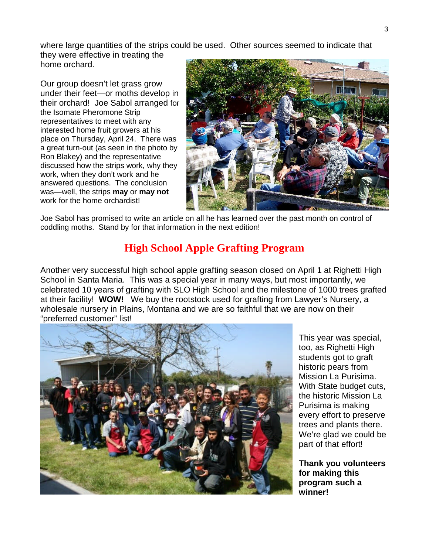where large quantities of the strips could be used. Other sources seemed to indicate that they were effective in treating the

home orchard.

Our group doesn't let grass grow under their feet—or moths develop in their orchard! Joe Sabol arranged for the Isomate Pheromone Strip representatives to meet with any interested home fruit growers at his place on Thursday, April 24. There was a great turn-out (as seen in the photo by Ron Blakey) and the representative discussed how the strips work, why they work, when they don't work and he answered questions. The conclusion was—well, the strips **may** or **may not** work for the home orchardist!



Joe Sabol has promised to write an article on all he has learned over the past month on control of coddling moths. Stand by for that information in the next edition!

## **High School Apple Grafting Program**

Another very successful high school apple grafting season closed on April 1 at Righetti High School in Santa Maria. This was a special year in many ways, but most importantly, we celebrated 10 years of grafting with SLO High School and the milestone of 1000 trees grafted at their facility! **WOW!** We buy the rootstock used for grafting from Lawyer's Nursery, a wholesale nursery in Plains, Montana and we are so faithful that we are now on their "preferred customer" list!



This year was special, too, as Righetti High students got to graft historic pears from Mission La Purisima. With State budget cuts, the historic Mission La Purisima is making every effort to preserve trees and plants there. We're glad we could be part of that effort!

**Thank you volunteers for making this program such a winner!**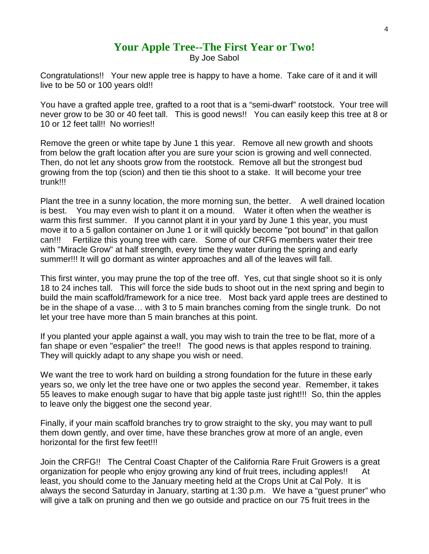#### **Your Apple Tree--The First Year or Two!** By Joe Sabol

Congratulations!! Your new apple tree is happy to have a home. Take care of it and it will live to be 50 or 100 years old!!

You have a grafted apple tree, grafted to a root that is a "semi-dwarf" rootstock. Your tree will never grow to be 30 or 40 feet tall. This is good news!! You can easily keep this tree at 8 or 10 or 12 feet tall!! No worries!!

Remove the green or white tape by June 1 this year. Remove all new growth and shoots from below the graft location after you are sure your scion is growing and well connected. Then, do not let any shoots grow from the rootstock. Remove all but the strongest bud growing from the top (scion) and then tie this shoot to a stake. It will become your tree trunk!!!

Plant the tree in a sunny location, the more morning sun, the better. A well drained location is best. You may even wish to plant it on a mound. Water it often when the weather is warm this first summer. If you cannot plant it in your yard by June 1 this year, you must move it to a 5 gallon container on June 1 or it will quickly become "pot bound" in that gallon can!!! Fertilize this young tree with care. Some of our CRFG members water their tree with "Miracle Grow" at half strength, every time they water during the spring and early summer!!! It will go dormant as winter approaches and all of the leaves will fall.

This first winter, you may prune the top of the tree off. Yes, cut that single shoot so it is only 18 to 24 inches tall. This will force the side buds to shoot out in the next spring and begin to build the main scaffold/framework for a nice tree. Most back yard apple trees are destined to be in the shape of a vase… with 3 to 5 main branches coming from the single trunk. Do not let your tree have more than 5 main branches at this point.

If you planted your apple against a wall, you may wish to train the tree to be flat, more of a fan shape or even "espalier" the tree!! The good news is that apples respond to training. They will quickly adapt to any shape you wish or need.

We want the tree to work hard on building a strong foundation for the future in these early years so, we only let the tree have one or two apples the second year. Remember, it takes 55 leaves to make enough sugar to have that big apple taste just right!!! So, thin the apples to leave only the biggest one the second year.

Finally, if your main scaffold branches try to grow straight to the sky, you may want to pull them down gently, and over time, have these branches grow at more of an angle, even horizontal for the first few feet!!!

Join the CRFG!! The Central Coast Chapter of the California Rare Fruit Growers is a great organization for people who enjoy growing any kind of fruit trees, including apples!! At least, you should come to the January meeting held at the Crops Unit at Cal Poly. It is always the second Saturday in January, starting at 1:30 p.m. We have a "guest pruner" who will give a talk on pruning and then we go outside and practice on our 75 fruit trees in the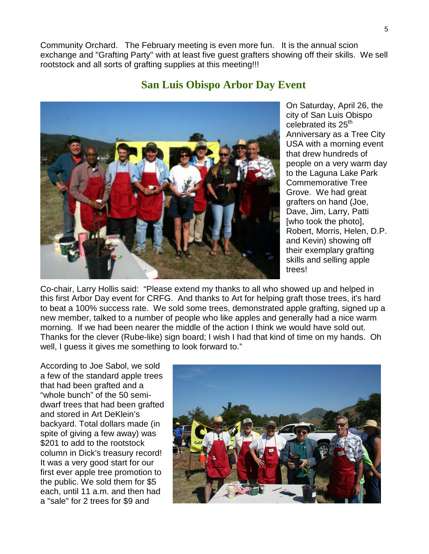Community Orchard. The February meeting is even more fun. It is the annual scion exchange and "Grafting Party" with at least five guest grafters showing off their skills. We sell rootstock and all sorts of grafting supplies at this meeting!!!

#### **San Luis Obispo Arbor Day Event**



On Saturday, April 26, the city of San Luis Obispo celebrated its 25<sup>th</sup> Anniversary as a Tree City USA with a morning event that drew hundreds of people on a very warm day to the Laguna Lake Park Commemorative Tree Grove. We had great grafters on hand (Joe, Dave, Jim, Larry, Patti [who took the photo], Robert, Morris, Helen, D.P. and Kevin) showing off their exemplary grafting skills and selling apple trees!

Co-chair, Larry Hollis said: "Please extend my thanks to all who showed up and helped in this first Arbor Day event for CRFG. And thanks to Art for helping graft those trees, it's hard to beat a 100% success rate. We sold some trees, demonstrated apple grafting, signed up a new member, talked to a number of people who like apples and generally had a nice warm morning. If we had been nearer the middle of the action I think we would have sold out. Thanks for the clever (Rube-like) sign board; I wish I had that kind of time on my hands. Oh well, I guess it gives me something to look forward to."

According to Joe Sabol, we sold a few of the standard apple trees that had been grafted and a "whole bunch" of the 50 semidwarf trees that had been grafted and stored in Art DeKlein's backyard. Total dollars made (in spite of giving a few away) was \$201 to add to the rootstock column in Dick's treasury record! It was a very good start for our first ever apple tree promotion to the public. We sold them for \$5 each, until 11 a.m. and then had a "sale" for 2 trees for \$9 and

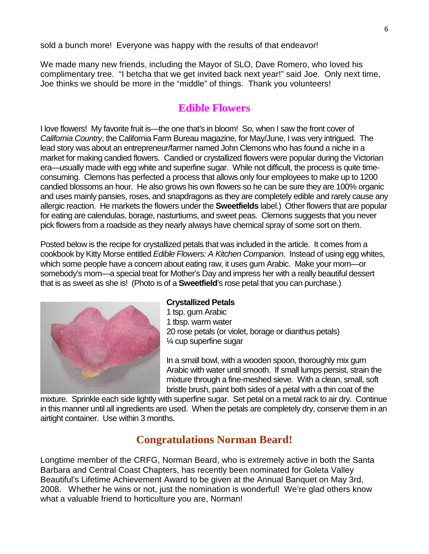sold a bunch more! Everyone was happy with the results of that endeavor!

We made many new friends, including the Mayor of SLO, Dave Romero, who loved his complimentary tree. "I betcha that we get invited back next year!" said Joe. Only next time, Joe thinks we should be more in the "middle" of things. Thank you volunteers!

## **Edible Flowers**

I love flowers! My favorite fruit is—the one that's in bloom! So, when I saw the front cover of *California Country*, the California Farm Bureau magazine, for May/June, I was very intrigued. The lead story was about an entrepreneur/farmer named John Clemons who has found a niche in a market for making candied flowers. Candied or crystallized flowers were popular during the Victorian era—usually made with egg white and superfine sugar. While not difficult, the process is quite timeconsuming. Clemons has perfected a process that allows only four employees to make up to 1200 candied blossoms an hour. He also grows his own flowers so he can be sure they are 100% organic and uses mainly pansies, roses, and snapdragons as they are completely edible and rarely cause any allergic reaction. He markets the flowers under the **Sweetfields** label.) Other flowers that are popular for eating are calendulas, borage, nasturtiums, and sweet peas. Clemons suggests that you never pick flowers from a roadside as they nearly always have chemical spray of some sort on them.

Posted below is the recipe for crystallized petals that was included in the article. It comes from a cookbook by Kitty Morse entitled *Edible Flowers: A Kitchen Companion*. Instead of using egg whites, which some people have a concern about eating raw, it uses gum Arabic. Make your mom—or somebody's mom—a special treat for Mother's Day and impress her with a really beautiful dessert that is as sweet as she is! (Photo is of a **Sweetfield**'s rose petal that you can purchase.)



#### **Crystallized Petals**

1 tsp. gum Arabic 1 tbsp. warm water 20 rose petals (or violet, borage or dianthus petals) ¼ cup superfine sugar

In a small bowl, with a wooden spoon, thoroughly mix gum Arabic with water until smooth. If small lumps persist, strain the mixture through a fine-meshed sieve. With a clean, small, soft bristle brush, paint both sides of a petal with a thin coat of the

mixture. Sprinkle each side lightly with superfine sugar. Set petal on a metal rack to air dry. Continue in this manner until all ingredients are used. When the petals are completely dry, conserve them in an airtight container. Use within 3 months.

## **Congratulations Norman Beard!**

Longtime member of the CRFG, Norman Beard, who is extremely active in both the Santa Barbara and Central Coast Chapters, has recently been nominated for Goleta Valley Beautiful's Lifetime Achievement Award to be given at the Annual Banquet on May 3rd, 2008. Whether he wins or not, just the nomination is wonderful! We're glad others know what a valuable friend to horticulture you are, Norman!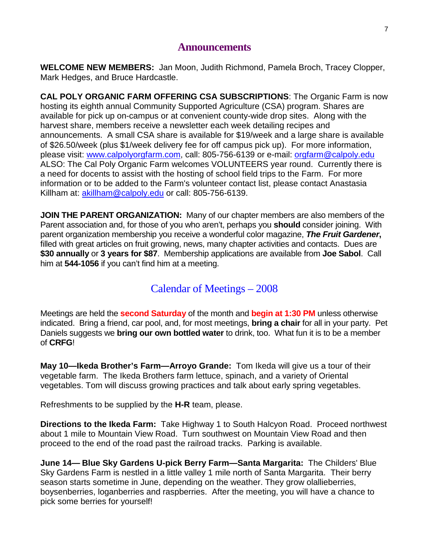#### **Announcements**

**WELCOME NEW MEMBERS:** Jan Moon, Judith Richmond, Pamela Broch, Tracey Clopper, Mark Hedges, and Bruce Hardcastle.

**CAL POLY ORGANIC FARM OFFERING CSA SUBSCRIPTIONS**: The Organic Farm is now hosting its eighth annual Community Supported Agriculture (CSA) program. Shares are available for pick up on-campus or at convenient county-wide drop sites. Along with the harvest share, members receive a newsletter each week detailing recipes and announcements. A small CSA share is available for \$19/week and a large share is available of \$26.50/week (plus \$1/week delivery fee for off campus pick up). For more information, please visit: [www.calpolyorgfarm.com,](http://www.calpolyorgfarm.com/) call: 805-756-6139 or e-mail: [orgfarm@calpoly.edu](mailto:orgfarm@calpoly.edu) ALSO: The Cal Poly Organic Farm welcomes VOLUNTEERS year round. Currently there is a need for docents to assist with the hosting of school field trips to the Farm. For more information or to be added to the Farm's volunteer contact list, please contact Anastasia Killham at: [akillham@calpoly.edu](mailto:akillham@calpoly.edu) or call: 805-756-6139.

**JOIN THE PARENT ORGANIZATION:** Many of our chapter members are also members of the Parent association and, for those of you who aren't, perhaps you **should** consider joining. With parent organization membership you receive a wonderful color magazine, *The Fruit Gardener***,** filled with great articles on fruit growing, news, many chapter activities and contacts. Dues are **\$30 annually** or **3 years for \$87**. Membership applications are available from **Joe Sabol**. Call him at **544-1056** if you can't find him at a meeting.

## Calendar of Meetings – 2008

Meetings are held the **second Saturday** of the month and **begin at 1:30 PM** unless otherwise indicated. Bring a friend, car pool, and, for most meetings, **bring a chair** for all in your party. Pet Daniels suggests we **bring our own bottled water** to drink, too. What fun it is to be a member of **CRFG**!

**May 10—Ikeda Brother's Farm—Arroyo Grande:** Tom Ikeda will give us a tour of their vegetable farm. The Ikeda Brothers farm lettuce, spinach, and a variety of Oriental vegetables. Tom will discuss growing practices and talk about early spring vegetables.

Refreshments to be supplied by the **H-R** team, please.

**Directions to the Ikeda Farm:** Take Highway 1 to South Halcyon Road. Proceed northwest about 1 mile to Mountain View Road. Turn southwest on Mountain View Road and then proceed to the end of the road past the railroad tracks. Parking is available.

**June 14— Blue Sky Gardens U-pick Berry Farm—Santa Margarita:** The Childers' Blue Sky Gardens Farm is nestled in a little valley 1 mile north of Santa Margarita. Their berry season starts sometime in June, depending on the weather. They grow olallieberries, boysenberries, loganberries and raspberries. After the meeting, you will have a chance to pick some berries for yourself!